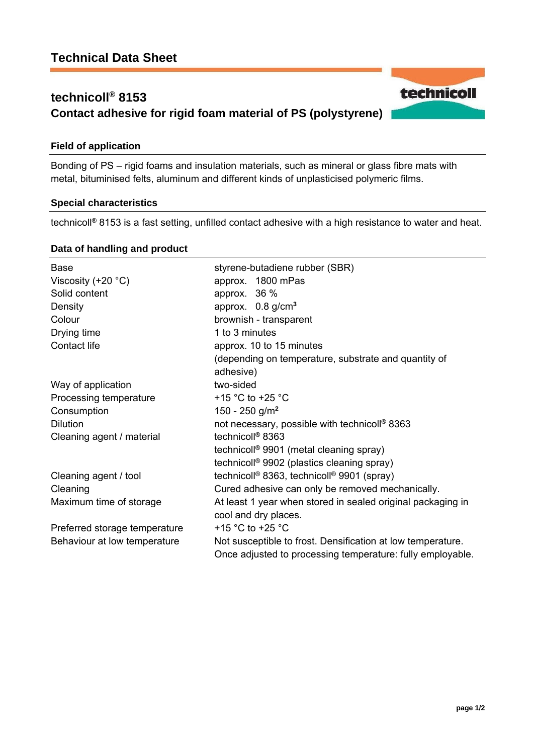# **technicoll® 8153 Contact adhesive for rigid foam material of PS (polystyrene)**

## **Field of application**

Bonding of PS – rigid foams and insulation materials, such as mineral or glass fibre mats with metal, bituminised felts, aluminum and different kinds of unplasticised polymeric films.

## **Special characteristics**

technicoll® 8153 is a fast setting, unfilled contact adhesive with a high resistance to water and heat.

#### **Data of handling and product**

| <b>Base</b>                   | styrene-butadiene rubber (SBR)                                                                                            |
|-------------------------------|---------------------------------------------------------------------------------------------------------------------------|
| Viscosity $(+20 °C)$          | approx. 1800 mPas                                                                                                         |
| Solid content                 | approx. $36\%$                                                                                                            |
| Density                       | approx. $0.8$ g/cm <sup>3</sup>                                                                                           |
| Colour                        | brownish - transparent                                                                                                    |
| Drying time                   | 1 to 3 minutes                                                                                                            |
| Contact life                  | approx. 10 to 15 minutes                                                                                                  |
|                               | (depending on temperature, substrate and quantity of                                                                      |
|                               | adhesive)                                                                                                                 |
| Way of application            | two-sided                                                                                                                 |
| Processing temperature        | +15 $^{\circ}$ C to +25 $^{\circ}$ C                                                                                      |
| Consumption                   | 150 - 250 g/m <sup>2</sup>                                                                                                |
| <b>Dilution</b>               | not necessary, possible with technicoll® 8363                                                                             |
| Cleaning agent / material     | technicoll <sup>®</sup> 8363                                                                                              |
|                               | technicoll <sup>®</sup> 9901 (metal cleaning spray)                                                                       |
|                               | technicoll <sup>®</sup> 9902 (plastics cleaning spray)                                                                    |
| Cleaning agent / tool         | technicoll <sup>®</sup> 8363, technicoll <sup>®</sup> 9901 (spray)                                                        |
| Cleaning                      | Cured adhesive can only be removed mechanically.                                                                          |
| Maximum time of storage       | At least 1 year when stored in sealed original packaging in<br>cool and dry places.                                       |
| Preferred storage temperature | +15 $\degree$ C to +25 $\degree$ C                                                                                        |
| Behaviour at low temperature  | Not susceptible to frost. Densification at low temperature.<br>Once adjusted to processing temperature: fully employable. |

technicoll